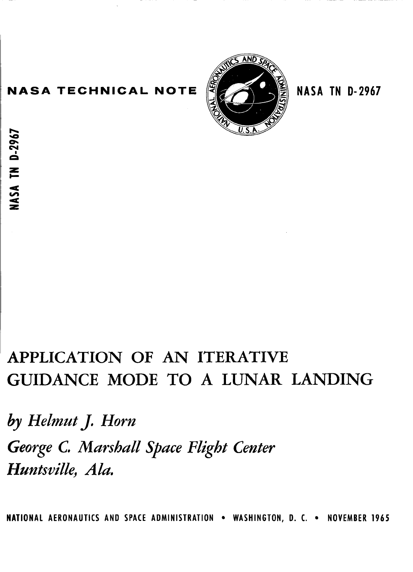## **NASA TECHNICAL NOTE REFAIL NASA TN D-2967**

**h Qm**   $\tilde{\mathbf{e}}$ . **b**-2

*z c* 



# ' **APPLICATION OF AN ITERATIVE GUIDANCE MODE TO A LUNAR LANDING**

*by Helmut J. Horn George* **C.** *Marshall Space Flight Center*  Huntsville, Ala.

**NATIONAL AERONAUTICS AND SPACE ADMINISTRATION . WASHINGTON, D. C. . NOVEMBER 1965**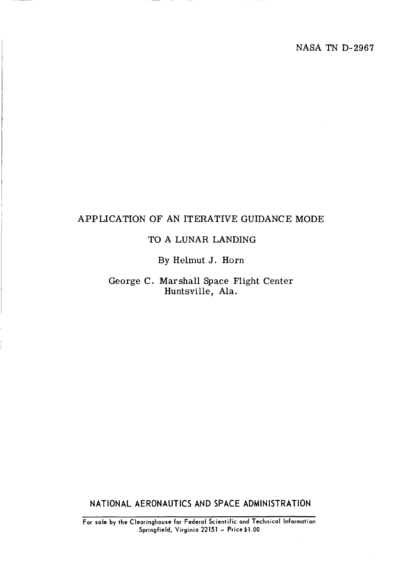## APPLICATION OF AN ITERATIVE GUIDANCE MODE

### TO A LUNAR LANDING

By Helmut J. Horn

George C. Marshall Space Flight Center Huntsville, Ala.

**NATIONAL AERONAUTICS AND SPACE ADMINISTRATION** 

**For sale by the Clearinghouse for Federal Scientific and Technical Information Springfield, Virginia 22151** - **Price\$1.00**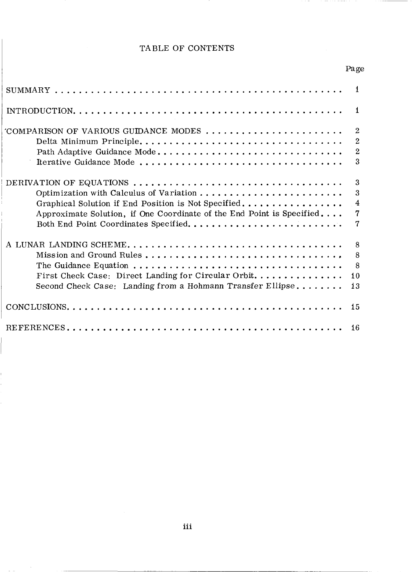## TABLE OF CONTENTS

Page

| $^{\prime}$ COMPARISON OF VARIOUS GUIDANCE MODES $\ldots \ldots \ldots \ldots \ldots \ldots \ldots$ | $\overline{2}$ |
|-----------------------------------------------------------------------------------------------------|----------------|
| Delta Minimum Principle                                                                             | $\overline{2}$ |
| Path Adaptive Guidance Mode                                                                         | $\overline{2}$ |
| Iterative Guidance Mode                                                                             | 3              |
| DERIVATION OF EQUATIONS                                                                             | 3              |
| Optimization with Calculus of Variation                                                             | 3              |
| Graphical Solution if End Position is Not Specified                                                 | 4              |
| Approximate Solution, if One Coordinate of the End Point is Specified                               | 7              |
|                                                                                                     | 7              |
|                                                                                                     | 8              |
| Mission and Ground Rules                                                                            | 8              |
|                                                                                                     | 8              |
| First Check Case: Direct Landing for Circular Orbit                                                 | 10             |
| Second Check Case: Landing from a Hohmann Transfer Ellipse                                          | 13             |
|                                                                                                     | 15             |
|                                                                                                     | 16             |

 $\mathbf{r}$ Ĩ.

 $\hat{\beta}$ 

and the con-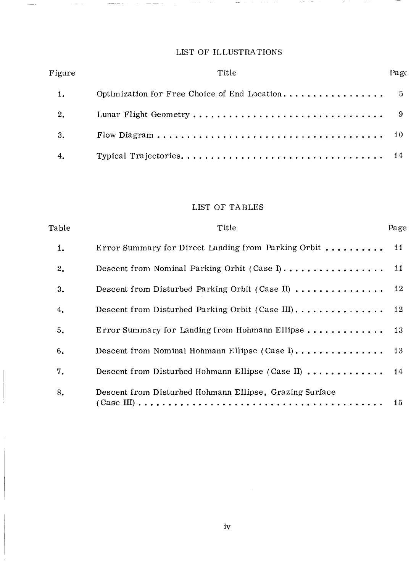## LIST OF ILLUSTRATIONS

 $\sim$   $-$ 

 $\alpha_{\rm{eff}}=0.5\pm0.00$  and  $\alpha_{\rm{eff}}$ 

 $\alpha$  ,  $\alpha$  ,  $\alpha$  ,  $\alpha$  ,  $\alpha$  ,  $\alpha$ 

 $- -$ 

 $\alpha$  and  $\alpha$  are  $\alpha$  . The  $\alpha$ 

 $\sim$   $\sim$   $\sim$   $\sim$   $\sim$ 

 $\hat{z}$  and

وتسدد

 $\sim$ 

| Figure | Title | Pag∈ |
|--------|-------|------|
|        |       |      |
| 2.     |       |      |
| 3.     |       |      |
| 4.     |       |      |

## LIST OF TABLES

| Table | Title                                                   | Page            |
|-------|---------------------------------------------------------|-----------------|
| 1.    | Error Summary for Direct Landing from Parking Orbit     | $\overline{11}$ |
| 2.    | Descent from Nominal Parking Orbit (Case I)             | 11              |
| 3.    | Descent from Disturbed Parking Orbit (Case II)          | 12              |
| 4.    |                                                         |                 |
| 5.    | Error Summary for Landing from Hohmann Ellipse 13       |                 |
| 6.    | Descent from Nominal Hohmann Ellipse (Case I) 13        |                 |
| 7.    | Descent from Disturbed Hohmann Ellipse (Case II)  14    |                 |
| 8.    | Descent from Disturbed Hohmann Ellipse, Grazing Surface | 15              |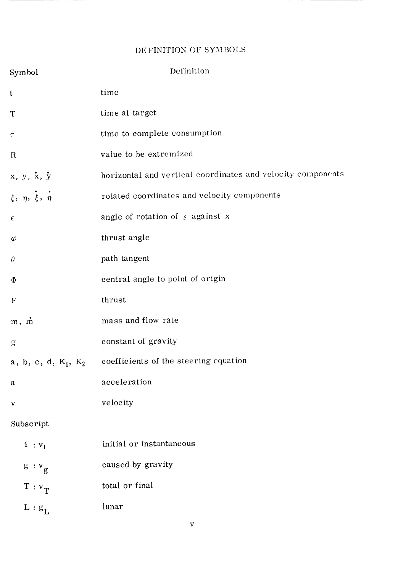## DE FINITION OF SYMBOLS

| Symbol                                                                                                                                                                                                                                                                                                                                                                                                                         | Definition                                                  |
|--------------------------------------------------------------------------------------------------------------------------------------------------------------------------------------------------------------------------------------------------------------------------------------------------------------------------------------------------------------------------------------------------------------------------------|-------------------------------------------------------------|
| t                                                                                                                                                                                                                                                                                                                                                                                                                              | time                                                        |
| T                                                                                                                                                                                                                                                                                                                                                                                                                              | time at target                                              |
| Τ                                                                                                                                                                                                                                                                                                                                                                                                                              | time to complete consumption                                |
| $\mathbb{R}$                                                                                                                                                                                                                                                                                                                                                                                                                   | value to be extremized                                      |
| $x, y, \dot{x}, \dot{y}$                                                                                                                                                                                                                                                                                                                                                                                                       | horizontal and vertical coordinates and velocity components |
| $\xi$ , $\eta$ , $\xi$ , $\eta$                                                                                                                                                                                                                                                                                                                                                                                                | rotated coordinates and velocity components                 |
| $\epsilon$                                                                                                                                                                                                                                                                                                                                                                                                                     | angle of rotation of $\xi$ against x                        |
| $\varphi$                                                                                                                                                                                                                                                                                                                                                                                                                      | thrust angle                                                |
| $\theta$                                                                                                                                                                                                                                                                                                                                                                                                                       | path tangent                                                |
| Φ                                                                                                                                                                                                                                                                                                                                                                                                                              | central angle to point of origin                            |
| $\mathbf F$                                                                                                                                                                                                                                                                                                                                                                                                                    | thrust                                                      |
| $m, \dot{m}$                                                                                                                                                                                                                                                                                                                                                                                                                   | mass and flow rate                                          |
| $\mathbf{g}% _{T}=\mathbf{g}_{T}=\mathbf{g}_{T}=\mathbf{g}_{T}=\mathbf{g}_{T}=\mathbf{g}_{T}=\mathbf{g}_{T}=\mathbf{g}_{T}=\mathbf{g}_{T}=\mathbf{g}_{T}=\mathbf{g}_{T}=\mathbf{g}_{T}=\mathbf{g}_{T}=\mathbf{g}_{T}=\mathbf{g}_{T}=\mathbf{g}_{T}=\mathbf{g}_{T}=\mathbf{g}_{T}=\mathbf{g}_{T}=\mathbf{g}_{T}=\mathbf{g}_{T}=\mathbf{g}_{T}=\mathbf{g}_{T}=\mathbf{g}_{T}=\mathbf{g}_{T}=\mathbf{g}_{T}=\mathbf{g}_{T}=\math$ | constant of gravity                                         |
| a, b, c, d, $\mathrm{K}_1$ , $\mathrm{K}_2$                                                                                                                                                                                                                                                                                                                                                                                    | coefficients of the steering equation                       |
| a                                                                                                                                                                                                                                                                                                                                                                                                                              | acceleration                                                |
| V                                                                                                                                                                                                                                                                                                                                                                                                                              | velocity                                                    |
| Subscript                                                                                                                                                                                                                                                                                                                                                                                                                      |                                                             |
| $1:V_1$                                                                                                                                                                                                                                                                                                                                                                                                                        | initial or instantaneous                                    |
| $g: v_g$                                                                                                                                                                                                                                                                                                                                                                                                                       | caused by gravity                                           |
| $T: V_T$                                                                                                                                                                                                                                                                                                                                                                                                                       | total or final                                              |
| $L : g_L$                                                                                                                                                                                                                                                                                                                                                                                                                      | lunar                                                       |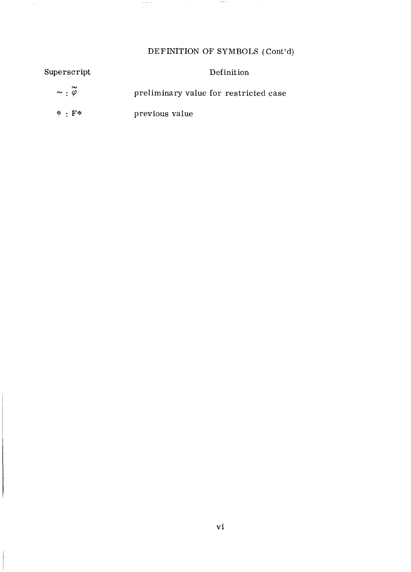## DEFINITION OF SYMBOLS (Cont'd)

 $\sim$  0.000  $\sim$  0.000  $\mu$ 

| Superscript                    | Definition                            |
|--------------------------------|---------------------------------------|
| $\sim$ : $\widetilde{\varphi}$ | preliminary value for restricted case |
| $*$ $\cdot$ $F*$               | previous value                        |

 $\sim$   $\sim$ 

 $\sim$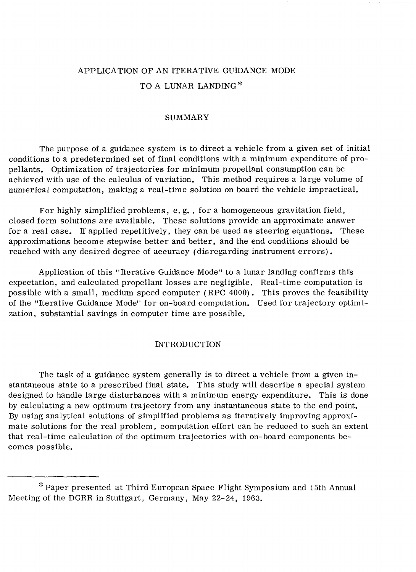## APPLICATION OF AN ITERATIVE GUIDANCE MODE TO A LUNAR LANDING<sup>\*</sup>

#### SUMMARY

The purpose of a guidance system is to direct a vehicle from a given set of initial conditions to a predetermined set of final conditions with a minimum expenditure of propellants. Optimization of trajectories for minimum propellant consumption can be achieved with use of the calculus of variation. This method requires a large volume of numerical computation, making a real-time solution on board the vehicle impractical.

For highly simplified problems, e. g. , for a homogeneous gravitation field, closed form solutions are available. These solutions provide an approximate answer for a real case. If applied repetitively, they can be used as steering equations. These approximations become stepwise better and better, and the end conditions should be reached with any desired degree of accuracy (disregarding instrument errors).

Application of this "Iterative Guidance Mode" to a lunar landing confirms thi's expectation, and calculated propellant losses are negligible. Real-time computation is possible with a small, medium speed computer (RPC 4000). This proves the feasibility of the "Iterative Guidance Mode" for on-board computation. Used for trajectory optimization, substantial savings in computer time are possible.

#### INTRODUCTION

The task of a guidance system generally is to direct a vehicle from a given instantaneous state to a prescribed final state. This study will describe a special system designed to handle large disturbances with a minimum energy expenditure. This is done by calculating a new optimum trajectory from any instantaneous state to the end point. By using analytical solutions of simplified problems as iteratively improving approximate solutions for the real problem, computation effort can be reduced to such an extent that real-time calculation of the optimum trajectories with on-board components becomes possible.

**J.**  -,.Paper presented at Third European Space Flight Symposium and 15th Annual Meeting of the DGRR in Stuttgart, Germany, May 22-24, 1963.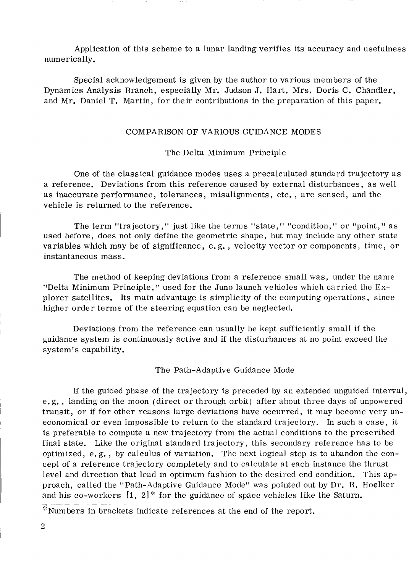Application of this scheme to a lunar landing verifies its accuracy and usefulness numerically.

Special acknowledgement is given by the author to various members of the Dynamics Analysis Branch, especially Mr. Judson J. Hart, Mrs. Doris C. Chandler, and Mr. Daniel T. Martin, for their contributions in the preparation of this paper.

#### COMPARISON OF VARIOUS GUIDANCE MODES

#### The Delta Minimum Principle

One of the classical guidance modes uses a precalculated standard trajectory as a reference. Deviations from this reference caused by external disturbances , as well as inaccurate performance , tolerances, misalignments , etc. , are sensed, and the vehicle is returned to the reference.

The term "trajectory," just like the terms "state," "condition," or "point," as used before, does not only define the geometric shape, but may include any other state variables which may be of significance, e. g. , velocity vector or components, time, or instantaneous mass.

The method of keeping deviations from a reference small was, under the name plorer satellites. Its main advantage is simplicity of the computing operations, since "Delta Minimum Principle," used for the Juno launch vehicles which carried the Exhigher order terms of the steering equation can be neglected.

Deviations from the reference can usually be kept sufficiently small if the guidance system is continuously active and if the disturbances at no point exceed the system's capability.

The Path-Adaptive Guidance Mode

If the guided phase of the trajectory is preceded by an extended unguided interval, e. g. , landing on the moon (direct or through orbit) after about three days of unpowered transit, or if for other reasons large deviations have occurred, it may become very uneconomical or even impossible to return to the standard trajectory. In such a case, it is preferable to compute a new trajectory from the actual conditions to the prescribed final state. Like the original standard trajectory, this secondary reference has to be optimized, e. g. , by calculus of variation. The next logical step is to abandon the concept of a reference trajectory completely and to calculate at each instance the thrust level and direction that lead in optimum fashion to the desired end condition. This approach, called the "Path-Adaptive Guidance Mode" was pointed out by Dr. R. Hoelker and his co-workers  $[1, 2]$ <sup>\*</sup> for the guidance of space vehicles like the Saturn.

*<sup>-9.</sup>* "'Numbers in brackets indicate references at the end of the report.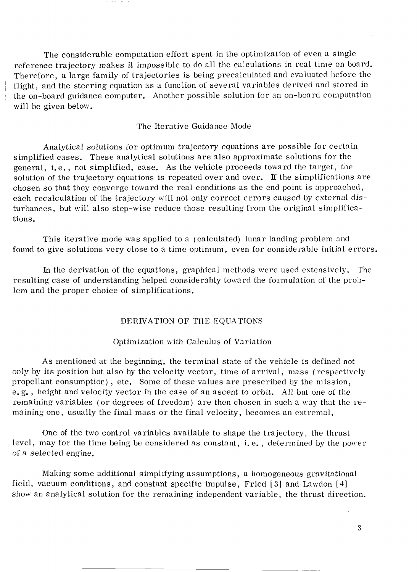The considerable computation effort spent in the optimization of even a single reference trajectory makes it impossible to do all the calculations in real time on hoard. Therefore, a large family of trajectories is being precalculated and evaluated before the flight, and the steering equation as a function of several variables derived and stored in the on-board guidance computer. Another possible solution for an on-board computation will be given below.

#### The Iterative Guidance Mode

Analytical solutions for optimum trajectory equations are possible for certain simplified cases. These analytical solutions are slso approximate solutions for the general, i. e. , not simplified, case. As the vehicle proceeds toward the target, the solution of the trajectory equations is repeated over and over. If the simplifications are chosen *so* that they converge toward the real conditions as the end point is approached, each recalculation of the trajectory will not only correct errors caused by external disturbances, but will also step-wise reduce those resulting from the original simplifications.

This iterative mode was applied to a (calculated) lunar landing problem and found to give solutions very close to a time optimum, even for considerable initial errors.

In the derivation of the equations, graphical methods were used extensively. The resulting case of understanding helped considerably toward the formulation of the problem and the proper choice of simplifications.

#### DERIVATION OF THE EQUATIONS

#### Optimization with Calculus of Variation

As mentioned at the beginning, the terminal state of the vehicle is defined not only by its position but also by the velocity vector, time of arrival, mass (respectively propellant consumption) , etc. Some of these values are prescribed by the mission, e. g. , height and velocity vector in the case of an ascent to orbit. All but one of the remaining variables (or degrees of freedom) are then chosen in such a way that the remaining one, usually the final mass or the final velocity, becomes an estremal.

One of the two control variables available to shape the trajectory, the thrust level, may for the time being be considered as constant, i.e., determined by the power of a selected engine.

Making some additional simplifying assumptions, a homogeneous gravitational field, vacuum conditions, and constant specific impulse, Fried  $[3]$  and Lawdon  $[4]$ show an analytical solution for the remaining independent variable , the thrust direction.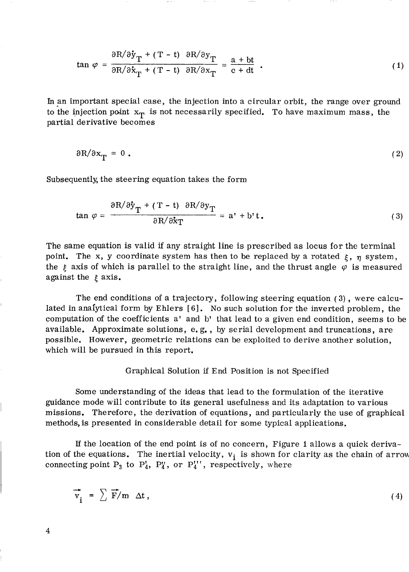$$
\tan \varphi = \frac{\partial R/\partial \dot{y}_T + (T - t) \partial R/\partial y_T}{\partial R/\partial \dot{x}_T + (T - t) \partial R/\partial x_T} = \frac{a + bt}{c + dt} \tag{1}
$$

In an important special case, the injection into a circular orbit, the range over ground to the injection point  $x_T$  is not necessarily specified. To have maximum mass, the partial derivative becomes

$$
\partial R/\partial x_{\mathbf{T}} = 0 \tag{2}
$$

Subsequently, the steering equation takes the form

$$
\tan \varphi = \frac{\partial R/\partial \mathbf{\dot{y}}_T + (T - t) \partial R/\partial \mathbf{y}_T}{\partial R/\partial \mathbf{\dot{x}}_T} = \mathbf{a'} + \mathbf{b'}t. \tag{3}
$$

The same equation is valid if any straight line is prescribed as locus for the terminal point. The x, y coordinate system has then to be replaced by a rotated  $\xi$ ,  $\eta$  system, the  $\xi$  axis of which is parallel to the straight line, and the thrust angle  $\varphi$  is measured against the  $\xi$  axis.

The end conditions of a trajectory, following steering equation **(3)** , were calculated in analytical form by Ehlers [6]. No such solution for the inverted problem, the computation of the coefficients a' and b' that lead to a given end condition, seems to be available. Approximate solutions, e. g. , by serial development and truncations, are possible. However, geometric relations can be exploited to derive another solution, which will be pursued in this report.

#### Graphical Solution if End Position is not Specified

Some understanding of the ideas that lead to the formulation of the iterative guidance mode will contribute to its general usefulness and its adaptation to various missions. Therefore, the derivation of equations, and particularly the use of graphical methods, is presented in considerable detail for some typical applications.

If the location of the end point is of no concern, Figure 1 allows a quick derivation of the equations. The inertial velocity,  $v_i$  is shown for clarity as the chain of arrow connecting point  $P_3$  to  $P'_4$ ,  $P''_4$ , or  $P''_4$ '', respectively, where

$$
\overrightarrow{v_i} = \sum \overrightarrow{F}/m \Delta t, \qquad (4)
$$

**4**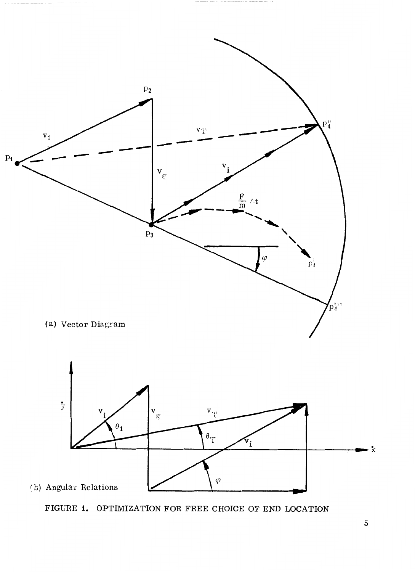

FIGURE **1.** OPTIMIZATION FOR FREE CHOICE OF END LOCATION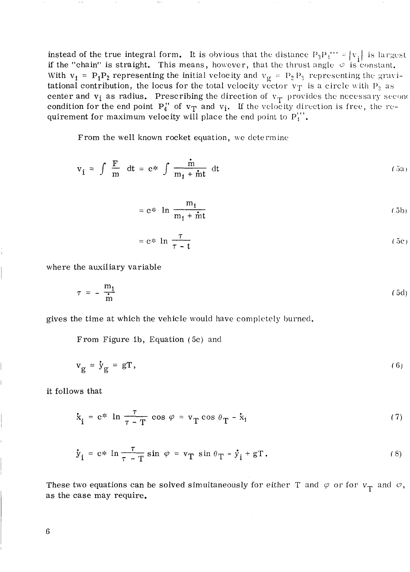instead of the true integral form. It is obvious that the distance  $P_3P_4''' = |v_s|$  is largest if the "chain" is straight. This means, however, that the thrust angle  $\phi$  is constant. With  $v_1 = P_1P_2$  representing the initial velocity and  $v_g = P_2P_3$  representing the gravitational contribution, the locus for the total velocity vector  $v_T$  is a circle with  $P_3$  as center and  $v_i$  as radius. Prescribing the direction of  $v_{\text{T}}$  provides the necessary seconc condition for the end point  $P_4'$  of  $v_T$  and  $v_i$ . If the velocity direction is free, the requirement for maximum velocity will place the end point to  $P_4''$ .

From the well known rocket equation, we determine

$$
v_i = \int \frac{F}{m} dt = e^* \int \frac{\dot{m}}{m_1 + \dot{m}t} dt
$$
 (5a)

$$
= e^* \ln \frac{m_1}{m_1 + \text{int}}
$$
 (5b)  

$$
= e^* \ln \frac{\tau}{\tau - t}
$$
 (5c)

$$
= e^* \ln \frac{\tau}{\tau - t}
$$
 (5c)

where the auxiliary variable

$$
\tau = -\frac{\mathbf{m}_1}{\mathbf{m}} \tag{5d}
$$

gives the time at which the vehicle would have completely burned.

From Figure ib, Equation (5c) and

$$
\mathbf{v}_{\mathbf{g}} = \mathbf{\dot{y}}_{\mathbf{g}} = \mathbf{g} \mathbf{T}, \qquad (6)
$$

it follows that

$$
v_g = \dot{y}_g = gT,
$$
\n
$$
\dot{x}_i = e^* \ln \frac{\tau}{\tau - T} \cos \varphi = v_T \cos \theta_T - \dot{x}_i
$$
\n(7)

$$
\dot{\mathbf{y}}_{i} = c \ast \ln \frac{\tau}{\tau - T} \sin \varphi = \mathbf{v}_{T} \sin \theta_{T} - \dot{\mathbf{y}}_{i} + gT. \tag{8}
$$

These two equations can be solved simultaneously for either T and  $\varphi$  or for  $v_T$  and  $\varphi$ , as the case may require.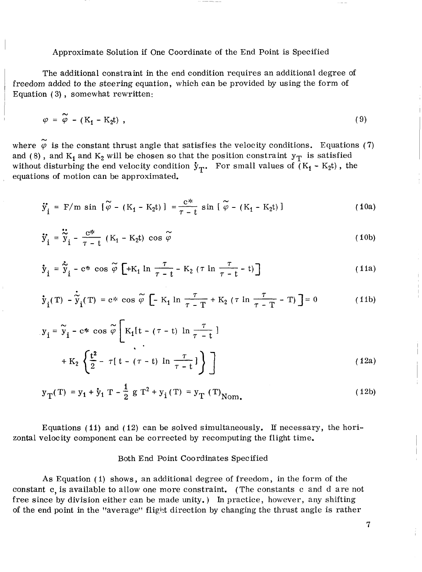<sup>I</sup>Approximate Solution if One Coordinate of the End Point is Specified

The additional constraint in the end condition requires an additional degree of freedom added to the steering equation, which can be provided by using the form of Equation (3), somewhat rewritten:

$$
\varphi = \widetilde{\varphi} - (K_1 - K_2 t) \tag{9}
$$

where  $\widetilde{\varphi}$  is the constant thrust angle that satisfies the velocity conditions. Equations (7) and (8), and  $K_1$  and  $K_2$  will be chosen so that the position constraint  $y_T$  is satisfied without disturbing the end velocity condition  $y_T$ . For small values of  $(K_1 - K_2 t)$ , the equations of motion can be approximated.

$$
\ddot{y}_{i} = F/m \sin \left[ \tilde{\varphi} - (K_{1} - K_{2}t) \right] = \frac{e^{*}}{\tau - t} \sin \left[ \tilde{\varphi} - (K_{1} - K_{2}t) \right]
$$
 (10a)

$$
\ddot{y}_{i} = F/m \sin \left[ \tilde{\varphi} - (K_{1} - K_{2}t) \right] = \frac{e^{x}}{\tau - t} \sin \left[ \tilde{\varphi} - (K_{1} - K_{2}t) \right]
$$
\n
$$
\ddot{y}_{i} = \ddot{\tilde{y}}_{i} - \frac{e^{x}}{\tau - t} (K_{1} - K_{2}t) \cos \tilde{\varphi}
$$
\n(10b)

$$
\ddot{y}_{i} = \ddot{\tilde{y}}_{i} - \frac{e^{\pi}}{\tau - t} (K_{1} - K_{2}t) \cos \tilde{\varphi}
$$
\n
$$
\dot{y}_{i} = \dot{\tilde{y}}_{i} - e^{\pi} \cos \tilde{\varphi} \left[ +K_{1} \ln \frac{\tau}{\tau - t} - K_{2} (\tau \ln \frac{\tau}{\tau - t} - t) \right]
$$
\n
$$
\dot{y}_{i}(T) - \dot{\tilde{y}}_{i}(T) = e^{\pi} \cos \tilde{\varphi} \left[ -K_{1} \ln \frac{\tau}{\tau - T} + K_{2} (\tau \ln \frac{\tau}{\tau - T} - T) \right] = 0
$$
\n(11b)

$$
\dot{y}_{i}(T) - \dot{\tilde{y}}_{i}(T) = c \ast \cos \tilde{\varphi} \left[ -K_{1} \ln \frac{\tau}{\tau - T} + K_{2} \left( \tau \ln \frac{\tau}{\tau - T} - T \right) \right] = 0
$$
 (11b)

$$
\dot{y}_{i}(T) - \dot{\tilde{y}}_{i}(T) = c \ast \cos \tilde{\varphi} \left[ -K_{1} \ln \frac{\tau}{\tau - T} + K_{2} (\tau \ln \frac{\tau}{\tau - T} - T) \right] = 0
$$
\n
$$
y_{i} = \tilde{y}_{i} - c \ast \cos \tilde{\varphi} \left[ K_{1}[t - (\tau - t) \ln \frac{\tau}{\tau - t}] \right]
$$
\n
$$
+ K_{2} \left\{ \frac{t^{2}}{2} - \tau [t - (\tau - t) \ln \frac{\tau}{\tau - t}] \right\} \right]
$$
\n(12a)

$$
y_T(T) = y_1 + y_1 T - \frac{1}{2} g T^2 + y_1(T) = y_T (T)_{\text{Nom.}}
$$
 (12b)

Equations (11) and (12) can be solved simultaneously. If necessary, the horizontal velocity component can be corrected by recomputing the flight time.

#### Both End Point Coordinates Specified

As Equation ( I) shows, an additional degree of freedom, in the form of the constant *c,* is available to allow one more constraint. (The constants c and d are not free since by division either can be made unity. ) In practice, however, any shifting of the end point in the "average" flight direction by changing the thrust angle is rather

7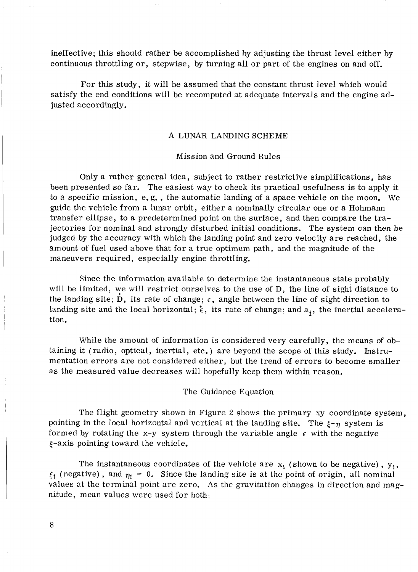ineffective; this should rather be accomplished by adjusting the thrust level either by continuous throttling or, stepwise, by turning all or part of the engines on and off.

For this study, it will be assumed that the constant thrust level which would satisfy the end conditions will be recomputed at adequate intervals and the engine adjusted accordingly.

#### **A** LUNAR LANDING SCHEME

#### Mission and Ground Rules

Only a rather general idea, subject to rather restrictive simplifications, has been presented so far. The easiest way to check its practical usefulness is to apply it to a specific mission, e. g. , the automatic landing of a space vehicle on the moon. We guide the vehicle from a lunar orbit, either a nominally circular one or a Hohmann transfer ellipse, to a predetermined point on the surface, and then compare the trajectories for nominal and strongly disturbed initial conditions. The system can then be judged by the accuracy with which the landing point and zero velocity are reached, the amount of fuel used above that for a true optimum path, and the magnitude of the maneuvers required, especially engine throttling.

Since the information available to determine the instantaneous state probably will be limited, we will restrict ourselves to the use of D, the line of sight distance to the landing site; D, its rate of change;  $\epsilon$ , angle between the line of sight direction to landing site and the local horizontal;  $\epsilon$ , its rate of change; and a<sub>i</sub>, the inertial acceleration.

While the amount of information is considered very carefully, the means of obtaining it (radio, optical, inertial, etc. ) are beyond the scope of this study. Instrumentation errors are not considered either, but the trend of errors to become smaller as the measured value decreases will hopefully keep them within reason.

The Guidance Equation

The flight geometry shown in Figure 2 shows the primary xy coordinate system, pointing in the local horizontal and vertical at the landing site. The  $\xi_{\tau \eta}$  system is formed by rotating the x-y system through the variable angle  $\epsilon$  with the negative  $\xi$ -axis pointing toward the vehicle.

The instantaneous coordinates of the vehicle are  $x_1$  (shown to be negative),  $y_1$ ,  $\xi_1$  (negative), and  $\eta_1 = 0$ . Since the landing site is at the point of origin, all nominal values at the terminal point are zero. **As** the gravitation changes in direction and magnitude, mean values were used for both: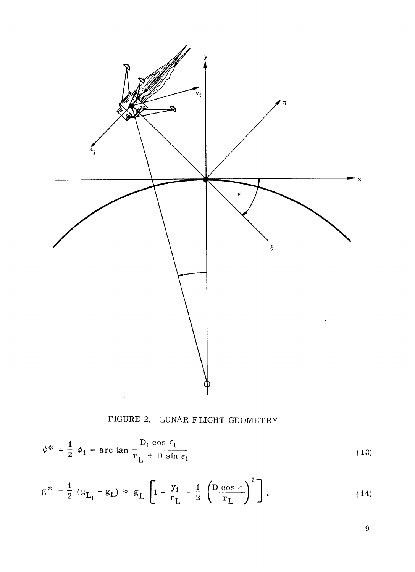

 $\sigma_{\rm{eff}}$  , and  $\sigma_{\rm{eff}}$  , and

FIGURE 2. LUNAR FLIGHT GEOMETRY

$$
\phi^* = \frac{1}{2} \phi_1 = \arctan \frac{D_1 \cos \epsilon_1}{r_L + D \sin \epsilon_1}
$$
 (13)

$$
g^* = \frac{1}{2} (g_{L_1} + g_L) \approx g_L \left[ 1 - \frac{y_1}{r_L} - \frac{1}{2} \left( \frac{D \cos \epsilon}{r_L} \right)^2 \right].
$$
 (14)

 $\overline{9}$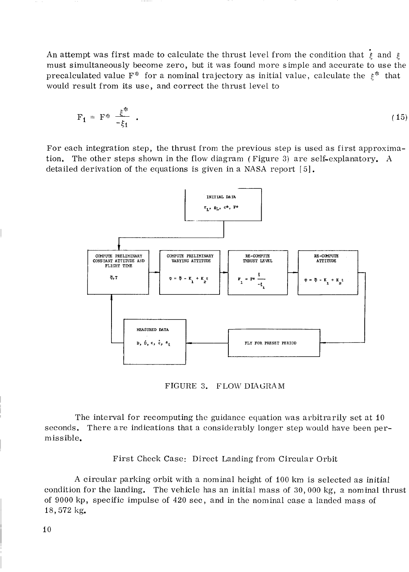An attempt was first made to calculate the thrust level from the condition that  $\dot{\xi}$  and  $\xi$ must simultaneously become zero, but it was found more simple and accurate to use the precalculated value F<sup>\*</sup> for a nominal trajectory as initial value, calculate the  $\xi^*$  that would result from its use, and correct the thrust level to

$$
F_1 = F^* \frac{\xi^*}{-\xi_1} \quad . \tag{15}
$$

For each integration step, the thrust from the previous step is used as first approximation. The other steps shown in the flow diagram (Figure 3) are self-explanatory. A detailed derivation of the equations is given in a NASA report  $\lceil 5 \rceil$ .



FIGURE **3.** FLOW DIAGRAM

The interval for recomputing the guidance equation was arbitrarily set at 10 seconds. There are indications that a considerably longer step would have been perm is *s* ible.

First Check Case: Direct Landing from Circular Orbit

A circular parking orbit with a nominal height of 100 km is selected as initial condition for the landing. The vehicle has an initial mass of 30,000 kg, a nominal thrust of 9000 kp, specific impulse of 420 sec, and in the nominal case a landed mass of 18,572 kg.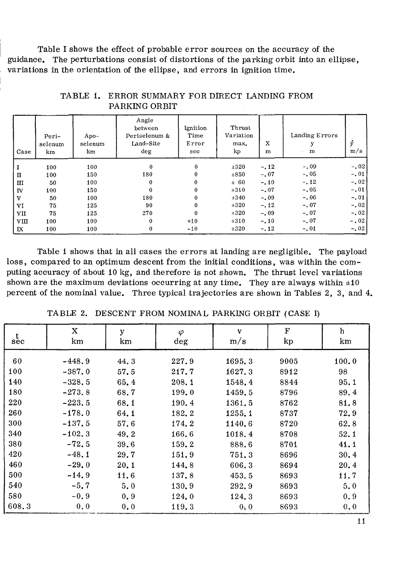Table I shows the effect of probable error sources on the accuracy of the guidance. The perturbations consist of distortions of the parking orbit into an ellipse, , variations in the orientation of the ellipse, and errors in ignition time.

| Case | Peri-<br>selenum<br>km | Apo-<br>selenum<br>km | Angle<br>between<br>Periselenum &<br>Land-Site<br>deg | Ignition<br>Time<br>Error<br>sec | Thrust<br>Variation<br>max.<br>kp | X<br>m | Landing Errors<br>y<br>m | ÿ<br>m/s |
|------|------------------------|-----------------------|-------------------------------------------------------|----------------------------------|-----------------------------------|--------|--------------------------|----------|
|      | 100                    | 100                   | $\Omega$                                              | $\bf{0}$                         | $\pm 320$                         | $-.12$ | $-.09$                   | $-.02$   |
| п    | 100                    | 150                   | 180                                                   | $\bf{0}$                         | $\pm 850$                         | $-.07$ | $-.05$                   | $-.01$   |
| Ш    | 50                     | 100                   | 0                                                     | $\bf{0}$                         | ± 60                              | $-.10$ | $-.12$                   | $-.02$   |
| IV   | 100                    | 150                   | 0                                                     | $\Omega$                         | ±310                              | $-.07$ | $-.05$                   | $-.01$   |
| V    | 50                     | 100                   | 180                                                   | 0                                | $\pm 340$                         | $-.09$ | $-.06$                   | $-.01$   |
| VI   | 75                     | 125                   | 90                                                    | $\Omega$                         | $\pm 320$                         | $-.12$ | $-.07$                   | $-.02$   |
| VII  | 75                     | 125                   | 270                                                   | $\bf{0}$                         | ±320                              | $-.09$ | $-.07$                   | $-.02$   |
| VШ   | 100                    | 100                   | $\bf{0}$                                              | $+10$                            | ±310                              | $-.10$ | $-.07$                   | $-0.02$  |
| IX   | 100                    | 100                   | $\bf{0}$                                              | $-10$                            | ±320                              | $-12$  | $-.01$                   | $-.02$   |

TABLE 1. ERROR SUMMARY FOR DIRECT LANDING FROM PARKING ORBIT

Table 1 shows that in all cases the errors at landing are negligible. The payload loss, compared to an optimum descent from the initial conditions, was within the computing accuracy of about 10 kg, and therefore is not shown. The thrust level variations shown are the maximum deviations occurring at any time. They are always within  $\pm 10$ percent of the nominal value. Three typical trajectories are shown in Tables 2, 3, and 4.

| $\frac{t}{\sec}$ | $\mathbf X$<br>km | y<br>km | $\varphi$<br>deg | $\mathbf{v}$<br>m/s | $\mathbf F$<br>kp | h<br>km |
|------------------|-------------------|---------|------------------|---------------------|-------------------|---------|
| 60               | $-448.9$          | 44.3    | 227.9            | 1695.3              | 9005              | 100.0   |
| 100              | $-387.0$          | 57.5    | 217.7            | 1627.3              | 8912              | 98      |
| 140              | $-328.5$          | 65.4    | 208.1            | 1548.4              | 8844              | 95.1    |
| 180              | $-273.8$          | 68.7    | 199.0            | 1459.5              | 8796              | 89.4    |
| 220              | $-223.5$          | 68.1    | 190.4            | 1361.5              | 8762              | 81.8    |
| 260              | $-178.0$          | 64.1    | 182.2            | 1255.1              | 8737              | 72.9    |
| 300              | $-137.5$          | 57.6    | 174.2            | 1140.6              | 8720              | 62.8    |
| 340              | $-102.3$          | 49.2    | 166.6            | 1018.4              | 8708              | 52.1    |
| 380              | $-72.5$           | 39.6    | 159.2            | 888.6               | 8701              | 41.1    |
| 420              | $-48.1$           | 29.7    | 151.9            | 751.3               | 8696              | 30.4    |
| 460              | $-29.0$           | 20.1    | 144.8            | 606.3               | 8694              | 20.4    |
| 500              | $-14.9$           | 11.6    | 137.8            | 453.5               | 8693              | 11.7    |
| 540              | $-5.7$            | 5.0     | 130.9            | 292.9               | 8693              | 5.0     |
| 580              | $-0.9$            | 0.9     | 124.0            | 124.3               | 8693              | 0.9     |
| 608.3            | 0, 0              | 0.0     | 119.3            | 0.0                 | 8693              | 0.0     |

TABLE 2. DESCENT FROM NOMINAL PARKING ORBIT (CASE I)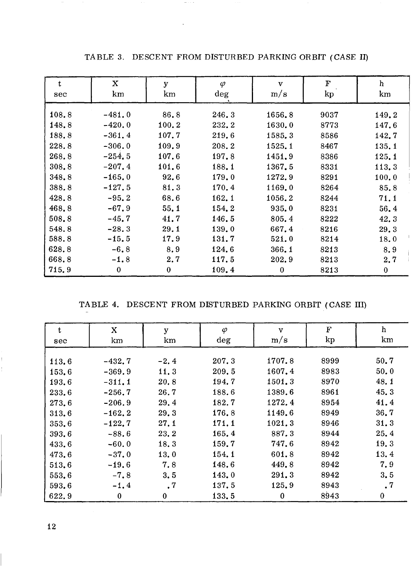| t<br>sec | $\mathbf X$<br>km | y<br>km  | $\varphi$<br>deg | $\mathbf v$<br>m/s | $\mathbf F$<br>kp | h<br>km  |
|----------|-------------------|----------|------------------|--------------------|-------------------|----------|
| 108.8    | $-481.0$          | 86.8     | 246.3            | 1656.8             | 9037              | 149.2    |
| 148.8    | $-420.0$          | 100.2    | 232.2            | 1630.0             | 8773              | 147.6    |
| 188.8    | $-361.4$          | 107.7    | 219.6            | 1585.3             | 8586              | 142.7    |
| 228.8    | $-306, 0$         | 109.9    | 208.2            | 1525.1             | 8467              | 135.1    |
| 268.8    | $-254.5$          | 107.6    | 197.8            | 1451.9             | 8386              | 125.1    |
| 308.8    | $-207.4$          | 101.6    | 188.1            | 1367.5             | 8331              | 113.3    |
| 348.8    | $-165.0$          | 92.6     | 179.0            | 1272.9             | 8291              | 100.0    |
| 388.8    | $-127.5$          | 81.3     | 170.4            | 1169.0             | 8264              | 85.8     |
| 428.8    | $-95.2$           | 68.6     | 162.1            | 1056.2             | 8244              | 71.1     |
| 468.8    | $-67.9$           | 55.1     | 154.2            | 935.0              | 8231              | 56.4     |
| 508.8    | $-45.7$           | 41.7     | 146.5            | 805.4              | 8222              | 42.3     |
| 548.8    | $-28.3$           | 29.1     | 139.0            | 667.4              | 8216              | 29.3     |
| 588.8    | $-15.5$           | 17.9     | 131.7            | 521.0              | 8214              | 18.0     |
| 628.8    | $-6.8$            | 8.9      | 124.6            | 366.1              | 8213              | 8.9      |
| 668.8    | $-1.8$            | 2.7      | 117.5            | 202.9              | 8213              | 2.7      |
| 715.9    | $\mathbf 0$       | $\bf{0}$ | 109.4            | $\bf{0}$           | 8213              | $\bf{0}$ |

TABLE 3. DESCENT FROM DISTURBED PARKING ORBIT (CASE 11)

 $\sim$  100  $\pm$ 

TABLE 4. DESCENT FROM DISTURBED PARKING ORBIT (CASE 111)

| t     | $\mathbf X$ | y         | $\varphi$ | $\mathbf{v}$ | $\mathbf F$ | $\bold{h}$ |
|-------|-------------|-----------|-----------|--------------|-------------|------------|
| sec   | km          | km        | deg       | m/s          | $\rm kp$    | km         |
|       |             |           |           |              |             |            |
| 113.6 | $-432.7$    | $-2.4$    | 207.3     | 1707.8       | 8999        | 50.7       |
| 153.6 | $-369.9$    | 11.3      | 209.5     | 1607.4       | 8983        | 50.0       |
| 193.6 | $-311.1$    | 20.8      | 194.7     | 1501.3       | 8970        | 48.1       |
| 233.6 | $-256.7$    | 26.7      | 188.6     | 1389.6       | 8961        | 45.3       |
| 273.6 | $-206.9$    | 29.4      | 182.7     | 1272.4       | 8954        | 41.4       |
| 313.6 | $-162, 2$   | 29.3      | 176.8     | 1149.6       | 8949        | 36.7       |
| 353.6 | $-122.7$    | 27.1      | 171.1     | 1021.3       | 8946        | 31.3       |
| 393,6 | $-88.6$     | 23.2      | 165.4     | 887.3        | 8944        | 25.4       |
| 433.6 | $-60.0$     | 18.3      | 159.7     | 747.6        | 8942        | 19.3       |
| 473.6 | $-37.0$     | 13.0      | 154.1     | 601.8        | 8942        | 13.4       |
| 513.6 | $-19.6$     | 7.8       | 148.6     | 449.8        | 8942        | 7.9        |
| 553.6 | $-7, 8$     | 3.5       | 143.0     | 291.3        | 8942        | 3.5        |
| 593.6 | $-1.4$      | $\cdot^7$ | 137.5     | 125.9        | 8943        | $\cdot$ 7  |
| 622.9 | $\bf{0}$    | $\bf{0}$  | 133.5     | $\bf{0}$     | 8943        | 0          |

ţ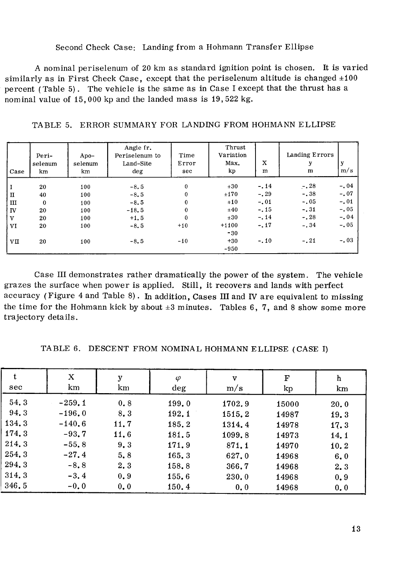#### Second Check Case: Landing from a Hohmann Transfer Ellipse

A nominal periselenum of 20 km as standard ignition point is chosen. It is varied similarly as in First Check Case, except that the periselenum altitude is changed  $\pm 100$ percent (Table 5). The vehicle is the same as in Case I except that the thrust has a nominal value of 15,000 kp and the landed mass is 19,522 kg.

| Case         | Peri-<br>selenum<br>km | Apo $-$<br>selenum<br>km | Angle fr.<br>Periselenum to<br>Land-Site<br>$\deg$ | Time<br>Error<br>sec | Thrust<br>Variation<br>Max.<br>kp | X<br>m | Landing Errors<br>у<br>m | У<br>m/s |
|--------------|------------------------|--------------------------|----------------------------------------------------|----------------------|-----------------------------------|--------|--------------------------|----------|
| I            | 20                     | 100                      | $-8.5$                                             | 0                    | $\pm 30$                          | $-.14$ | $-0.28$                  | $-.04$   |
| $\rm II$     | 40                     | 100                      | $-8.5$                                             | 0                    | ±170                              | $-.29$ | $-.38$                   | $-.07$   |
| ш            | $\bf{0}$               | 100                      | $-8.5$                                             | 0                    | ±10                               | $-.01$ | $-.05$                   | $-.01$   |
| IV           | 20                     | 100                      | $-18.5$                                            | 0                    | ±40                               | $-.15$ | $-.31$                   | $-.05$   |
| $\mathbf{V}$ | 20                     | 100                      | $+1.5$                                             | $\bf{0}$             | ±30                               | $-.14$ | $-.28$                   | $-.04$   |
| VI           | 20                     | 100                      | $-8,5$                                             | $+10$                | $+1100$                           | $-.17$ | $-.34$                   | $-.05$   |
|              |                        |                          |                                                    |                      | $-30$                             |        |                          |          |
| VП           | 20                     | 100                      | $-8, 5$                                            | $-10$                | $+30$                             | $-.10$ | $-.21$                   | $-.03$   |
|              |                        |                          |                                                    |                      | $-950$                            |        |                          |          |

TABLE 5. ERROR SUMMARY FOR LANDING FROM HOHMANN ELLIPSE

Case I11 demonstrates rather dramatically the power of the system. The vehicle grazes the surface when power is applied. Still, it recovers and lands with perfect accuracy (Figure 4 and Table 8) . In addition, Cases I11 and **lV** are equivalent to missing the time for the Hohmann kick by about  $\pm 3$  minutes. Tables 6, 7, and 8 show some more trajectory details.

TABLE 6. DESCENT FROM NOMINAL HOHMANN ELLIPSE (CASE **I)** 

| t     | Χ        | у    | $\varphi$ | $\mathbf{v}$ | $\mathbf F$ | h    |
|-------|----------|------|-----------|--------------|-------------|------|
| sec   | km       | km   | deg       | m/s          | kp          | km   |
| 54.3  | $-259.1$ | 0.8  | 199.0     | 1702.9       | 15000       | 20.0 |
| 94.3  | $-196.0$ | 8.3  | 192.1     | 1515.2       | 14987       | 19.3 |
| 134.3 | $-140.6$ | 11.7 | 185.2     | 1314.4       | 14978       | 17.3 |
| 174.3 | $-93.7$  | 11.6 | 181.5     | 1099.8       | 14973       | 14.1 |
| 214.3 | $-55.8$  | 9.3  | 171.9     | 871.1        | 14970       | 10.2 |
| 254.3 | $-27.4$  | 5,8  | 165.3     | 627.0        | 14968       | 6.0  |
| 294.3 | $-8.8$   | 2.3  | 158.8     | 366.7        | 14968       | 2.3  |
| 314.3 | $-3.4$   | 0.9  | 155.6     | 230.0        | 14968       | 0.9  |
| 346.5 | $-0.0$   | 0, 0 | 150.4     | 0, 0         | 14968       | 0.0  |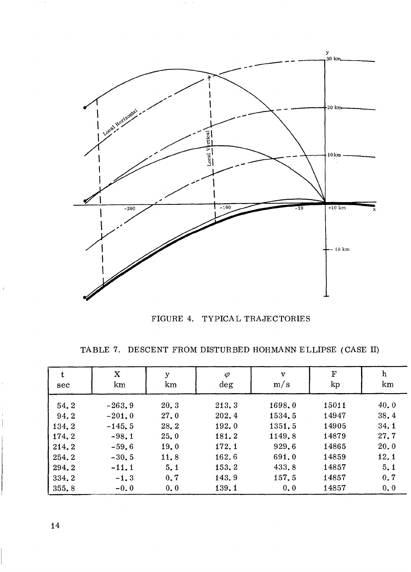

FIGURE 4. TYPICAL TRAJECTORIES

TABLE 7. DESCENT FROM DISTURBED HOHMANN ELLIPSE (CASE II)

| t<br>sec | X<br>km  | у<br>km | φ<br>$\deg$ | $\mathbf{v}$<br>m/s | $\mathbf F$<br>kp | h<br>km |
|----------|----------|---------|-------------|---------------------|-------------------|---------|
| 54.2     | $-263.9$ | 20.3    | 213.3       | 1698.0              | 15011             | 40.0    |
| 94.2     | $-201.0$ | 27.0    | 202.4       | 1534.5              | 14947             | 38.4    |
| 134.2    | $-145.5$ | 28.2    | 192.0       | 1351.5              | 14905             | 34.1    |
| 174.2    | $-98.1$  | 25.0    | 181.2       | 1149.8              | 14879             | 27.7    |
| 214.2    | $-59.6$  | 19.0    | 172.1       | 929.6               | 14865             | 20.0    |
| 254.2    | $-30.5$  | 11.8    | 162.6       | 691.0               | 14859             | 12.1    |
| 294.2    | $-11.1$  | 5.1     | 153.2       | 433.8               | 14857             | 5, 1    |
| 334.2    | $-1.3$   | 0, 7    | 143.9       | 157.5               | 14857             | 0.7     |
| 355.8    | $-0.0$   | 0.0     | 139.1       | 0.0                 | 14857             | 0.0     |

14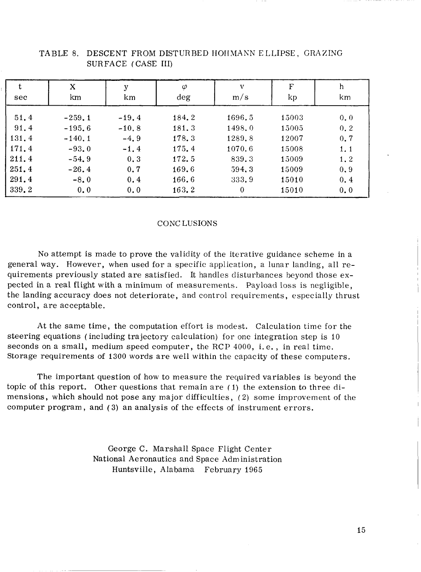| t<br>sec | X<br>km   | у<br>km  | $\varphi$<br>$\deg$ | v<br>m/s | F<br>kp | h<br>km |
|----------|-----------|----------|---------------------|----------|---------|---------|
| 51.4     | $-259.1$  | $-19.4$  | 184.2               | 1696.5   | 15003   | 0, 0    |
| 91.4     | $-195, 6$ | $-10, 8$ | 181.3               | 1498.0   | 15005   | 0.2     |
| 131.4    | $-140.1$  | $-4.9$   | 178.3               | 1289.8   | 12007   | 0, 7    |
| 171.4    | $-93.0$   | $-1.4$   | 175.4               | 1070.6   | 15008   | 1.1     |
| 211.4    | $-54.9$   | 0.3      | 172.5               | 839.3    | 15009   | 1.2     |
| 251.4    | $-26.4$   | 0.7      | 169.6               | 594.3    | 15009   | 0.9     |
| 291.4    | $-8.0$    | 0.4      | 166.6               | 333.9    | 15010   | 0.4     |
| 339.2    | 0.0       | 0.0      | 163.2               | $\theta$ | 15010   | 0.0     |

#### TABLE 8. DESCENT FROM DISTURBED HOHMANN ELLIPSE, GRAZING SURFACE (CASE 111)

#### CONCLUSIONS

No attempt is made to prove the validity of the iterative guidance scheme in a general way. However, when used for a specific application, a lunar landing, all requirements previously stated are satisfied. It handles disturbances beyond those expected in a real flight with a minimum of measurements. Payload loss is negligible, the landing accuracy does not deteriorate, and control requirements, especially thrust control, are acceptable.

At the same time, the computation effort is modest. Calculation time for the steering equations ( including trajectory calculation) for one integration step is 10 seconds on a small, medium speed computer, the RCP 4000, i. e. , in real time. Storage requirements of 1300 words are well within the capacity of these computers.

The important question of how to measure the required variables is beyond the topic of this report. Other questions that remain are ( 1) the extension to three dimensions, which should not pose any major difficulties, **(2)** some improvement of the computer program , and (3) an analysis of the effects of instrument errors.

> George C. Marshall Space Flight Center National Aeronautics and Space Administration Huntsville, Alabama February 1965